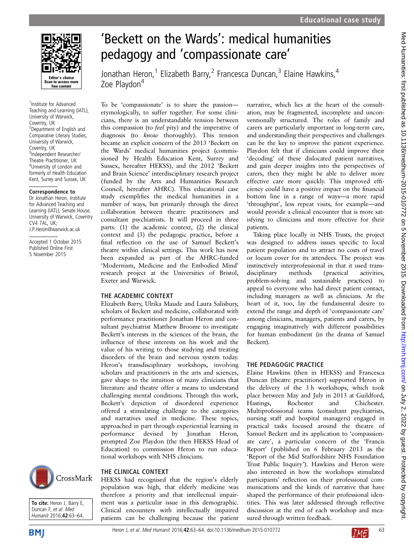

1 Institute for Advanced Teaching and Learning (IATL), University of Warwick, Coventry, UK <sup>2</sup>Department of English and Comparative Literary Studies, University of Warwick, Coventry, UK 3 Independent Researcher/ Theatre Practitioner, UK <sup>4</sup>University of London and formerly of Health Education Kent, Surrey and Sussex, UK

#### Correspondence to

Dr Jonathan Heron, Institute for Advanced Teaching and Learning (IATL), Senate House, University of Warwick, Coventry  $CV4$  7AL, UK; J.P.Heron@warwick.ac.uk

Accepted 1 October 2015 Published Online First 5 November 2015



To cite: Heron J, Barry E, Duncan F, et al. Med Humanit 2016;42:63–64.



# 'Beckett on the Wards': medical humanities pedagogy and 'compassionate care'

Jonathan Heron,<sup>1</sup> Elizabeth Barry,<sup>2</sup> Francesca Duncan,<sup>3</sup> Elaine Hawkins,<sup>4</sup> Zoe Playdon<sup>4</sup>

To be 'compassionate' is to share the passion etymologically, to suffer together. For some clinicians, there is an understandable tension between this compassion (to feel pity) and the imperative of diagnosis (to know thoroughly). This tension became an explicit concern of the 2013 'Beckett on the Wards' medical humanities project (commissioned by Health Education Kent, Surrey and Sussex, hereafter HEKSS), and the 2012 'Beckett and Brain Science' interdisciplinary research project (funded by the Arts and Humanities Research Council, hereafter AHRC). This educational case study exemplifies the medical humanities in a number of ways, but primarily through the direct collaboration between theatre practitioners and consultant psychiatrists. It will proceed in three parts: (1) the academic context, (2) the clinical context and (3) the pedagogic practice, before a final reflection on the use of Samuel Beckett's theatre within clinical settings. This work has now been expanded as part of the AHRC-funded 'Modernism, Medicine and the Embodied Mind' research project at the Universities of Bristol, Exeter and Warwick.

# THE ACADEMIC CONTEXT

Elizabeth Barry, Ulrika Maude and Laura Salisbury, scholars of Beckett and medicine, collaborated with performance practitioner Jonathan Heron and consultant psychiatrist Matthew Broome to investigate Beckett's interests in the sciences of the brain, the influence of these interests on his work and the value of his writing to those studying and treating disorders of the brain and nervous system today. Heron's transdisciplinary workshops, involving scholars and practitioners in the arts and sciences, gave shape to the intuition of many clinicians that literature and theatre offer a means to understand challenging mental conditions. Through this work, Beckett's depiction of disordered experience offered a stimulating challenge to the categories and narratives used in medicine. These topics, approached in part through experiential learning in performance devised by Jonathan Heron, prompted Zoe Playdon (the then HEKSS Head of Education) to commission Heron to run educational workshops with NHS clinicians.

THE CLINICAL CONTEXT HEKSS had recognised that the region's elderly population was high, that elderly medicine was therefore a priority and that intellectual impairment was a particular issue in this demographic. Clinical encounters with intellectually impaired patients can be challenging because the patient

narrative, which lies at the heart of the consultation, may be fragmented, incomplete and unconventionally structured. The roles of family and carers are particularly important in long-term care, and understanding their perspectives and challenges can be the key to improve the patient experience. Playdon felt that if clinicians could improve their 'decoding' of these dislocated patient narratives, and gain deeper insights into the perspectives of carers, then they might be able to deliver more effective care more quickly. This improved efficiency could have a positive impact on the financial bottom line in a range of ways—a more rapid 'throughput', less repeat visits, for example—and would provide a clinical encounter that is more satisfying to clinicians and more effective for their patients.

Taking place locally in NHS Trusts, the project was designed to address issues specific to local patient population and to attract no costs of travel or locum cover for its attendees. The project was instinctively interprofessional in that it used transdisciplinary methods (practical activities, problem-solving and sustainable practices) to appeal to everyone who had direct patient contact, including managers as well as clinicians. At the heart of it, too, lay the fundamental desire to extend the range and depth of 'compassionate care' among clinicians, managers, patients and carers, by engaging imaginatively with different possibilities for human embodiment (in the drama of Samuel Beckett).

# THE PEDAGOGIC PRACTICE

Elaine Hawkins (then in HEKSS) and Francesca Duncan (theatre practitioner) supported Heron in the delivery of the 3 h workshops, which took place between May and July in 2013 at Guildford, Hastings, Rochester and Chichester. Multiprofessional teams (consultant psychiatrists, nursing staff and hospital managers) engaged in practical tasks focused around the theatre of Samuel Beckett and its application to 'compassionate care', a particular concern of the 'Francis Report' (published on 6 February 2013 as the 'Report of the Mid Staffordshire NHS Foundation Trust Public Inquiry'). Hawkins and Heron were also interested in how the workshops stimulated participants' reflection on their professional communications and the kinds of narrative that have shaped the performance of their professional identities. This was later addressed through reflective discussion at the end of each workshop and measured through written feedback.